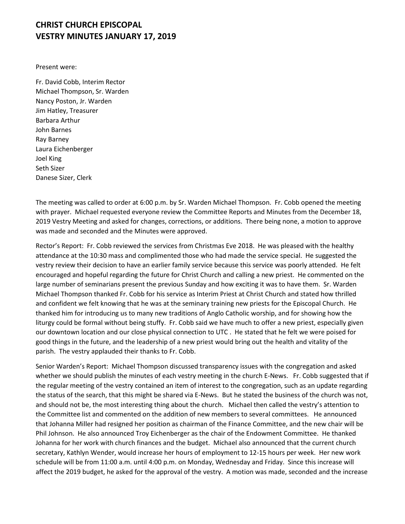## **CHRIST CHURCH EPISCOPAL VESTRY MINUTES JANUARY 17, 2019**

Present were:

Fr. David Cobb, Interim Rector Michael Thompson, Sr. Warden Nancy Poston, Jr. Warden Jim Hatley, Treasurer Barbara Arthur John Barnes Ray Barney Laura Eichenberger Joel King Seth Sizer Danese Sizer, Clerk

The meeting was called to order at 6:00 p.m. by Sr. Warden Michael Thompson. Fr. Cobb opened the meeting with prayer. Michael requested everyone review the Committee Reports and Minutes from the December 18, 2019 Vestry Meeting and asked for changes, corrections, or additions. There being none, a motion to approve was made and seconded and the Minutes were approved.

Rector's Report: Fr. Cobb reviewed the services from Christmas Eve 2018. He was pleased with the healthy attendance at the 10:30 mass and complimented those who had made the service special. He suggested the vestry review their decision to have an earlier family service because this service was poorly attended. He felt encouraged and hopeful regarding the future for Christ Church and calling a new priest. He commented on the large number of seminarians present the previous Sunday and how exciting it was to have them. Sr. Warden Michael Thompson thanked Fr. Cobb for his service as Interim Priest at Christ Church and stated how thrilled and confident we felt knowing that he was at the seminary training new priests for the Episcopal Church. He thanked him for introducing us to many new traditions of Anglo Catholic worship, and for showing how the liturgy could be formal without being stuffy. Fr. Cobb said we have much to offer a new priest, especially given our downtown location and our close physical connection to UTC . He stated that he felt we were poised for good things in the future, and the leadership of a new priest would bring out the health and vitality of the parish. The vestry applauded their thanks to Fr. Cobb.

Senior Warden's Report: Michael Thompson discussed transparency issues with the congregation and asked whether we should publish the minutes of each vestry meeting in the church E-News. Fr. Cobb suggested that if the regular meeting of the vestry contained an item of interest to the congregation, such as an update regarding the status of the search, that this might be shared via E-News. But he stated the business of the church was not, and should not be, the most interesting thing about the church. Michael then called the vestry's attention to the Committee list and commented on the addition of new members to several committees. He announced that Johanna Miller had resigned her position as chairman of the Finance Committee, and the new chair will be Phil Johnson. He also announced Troy Eichenberger as the chair of the Endowment Committee. He thanked Johanna for her work with church finances and the budget. Michael also announced that the current church secretary, Kathlyn Wender, would increase her hours of employment to 12-15 hours per week. Her new work schedule will be from 11:00 a.m. until 4:00 p.m. on Monday, Wednesday and Friday. Since this increase will affect the 2019 budget, he asked for the approval of the vestry. A motion was made, seconded and the increase